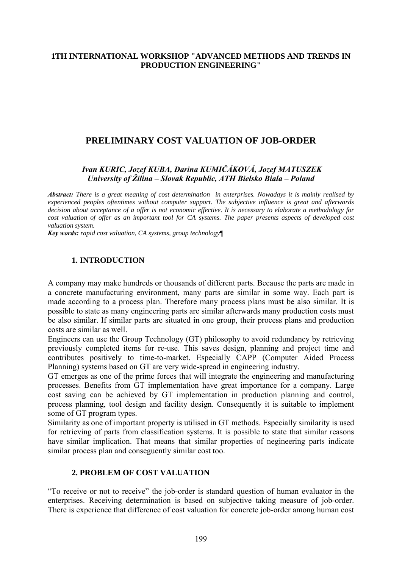#### **1TH INTERNATIONAL WORKSHOP "ADVANCED METHODS AND TRENDS IN PRODUCTION ENGINEERING"**

# **PRELIMINARY COST VALUATION OF JOB-ORDER**

### *Ivan KURIC, Jozef KUBA, Darina KUMIČÁKOVÁ, Jozef MATUSZEK University of Žilina – Slovak Republic, ATH Bielsko Biala – Poland*

*Abstract: There is a great meaning of cost determination in enterprises. Nowadays it is mainly realised by experienced peoples oftentimes without computer support. The subjective influence is great and afterwards decision about acceptance of a offer is not economic effective. It is necessary to elaborate a methodology for cost valuation of offer as an important tool for CA systems. The paper presents aspects of developed cost valuation system.* 

*Key words: rapid cost valuation, CA systems, group technology*¶

### **1. INTRODUCTION**

A company may make hundreds or thousands of different parts. Because the parts are made in a concrete manufacturing environment, many parts are similar in some way. Each part is made according to a process plan. Therefore many process plans must be also similar. It is possible to state as many engineering parts are similar afterwards many production costs must be also similar. If similar parts are situated in one group, their process plans and production costs are similar as well.

Engineers can use the Group Technology (GT) philosophy to avoid redundancy by retrieving previously completed items for re-use. This saves design, planning and project time and contributes positively to time-to-market. Especially CAPP (Computer Aided Process Planning) systems based on GT are very wide-spread in engineering industry.

GT emerges as one of the prime forces that will integrate the engineering and manufacturing processes. Benefits from GT implementation have great importance for a company. Large cost saving can be achieved by GT implementation in production planning and control, process planning, tool design and facility design. Consequently it is suitable to implement some of GT program types.

Similarity as one of important property is utilised in GT methods. Especially similarity is used for retrieving of parts from classification systems. It is possible to state that similar reasons have similar implication. That means that similar properties of negineering parts indicate similar process plan and conseguently similar cost too.

#### **2. PROBLEM OF COST VALUATION**

"To receive or not to receive" the job-order is standard question of human evaluator in the enterprises. Receiving determination is based on subjective taking measure of job-order. There is experience that difference of cost valuation for concrete job-order among human cost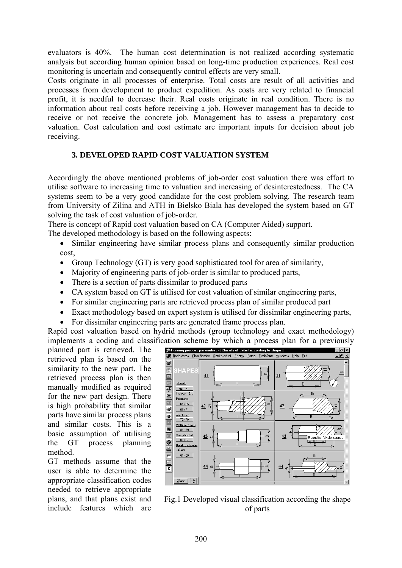evaluators is 40%. The human cost determination is not realized according systematic analysis but according human opinion based on long-time production experiences. Real cost monitoring is uncertain and consequently control effects are very small.

Costs originate in all processes of enterprise. Total costs are result of all activities and processes from development to product expedition. As costs are very related to financial profit, it is needful to decrease their. Real costs originate in real condition. There is no information about real costs before receiving a job. However management has to decide to receive or not receive the concrete job. Management has to assess a preparatory cost valuation. Cost calculation and cost estimate are important inputs for decision about job receiving.

# **3. DEVELOPED RAPID COST VALUATION SYSTEM**

Accordingly the above mentioned problems of job-order cost valuation there was effort to utilise software to increasing time to valuation and increasing of desinterestedness. The CA systems seem to be a very good candidate for the cost problem solving. The research team from University of Zilina and ATH in Bielsko Biala has developed the system based on GT solving the task of cost valuation of job-order.

There is concept of Rapid cost valuation based on CA (Computer Aided) support.

The developed methodology is based on the following aspects:

- Similar engineering have similar process plans and consequently similar production cost,
- Group Technology (GT) is very good sophisticated tool for area of similarity,
- Majority of engineering parts of job-order is similar to produced parts,
- There is a section of parts dissimilar to produced parts
- CA system based on GT is utilised for cost valuation of similar engineering parts,
- For similar engineering parts are retrieved process plan of similar produced part
- Exact methodology based on expert system is utilised for dissimilar engineering parts,
- For dissimilar engineering parts are generated frame process plan.

Rapid cost valuation based on hydrid methods (group technology and exact methodology) implements a coding and classification scheme by which a process plan for a previously

planned part is retrieved. The retrieved plan is based on the similarity to the new part. The retrieved process plan is then manually modified as required for the new part design. There is high probability that similar parts have similar process plans and similar costs. This is a basic assumption of utilising the GT process planning method.

GT methods assume that the user is able to determine the appropriate classification codes needed to retrieve appropriate plans, and that plans exist and include features which are



Fig.1 Developed visual classification according the shape of parts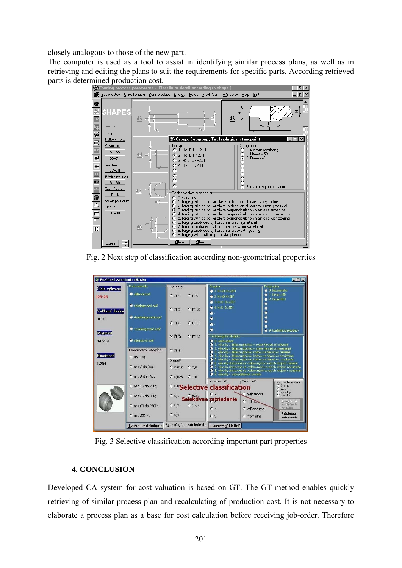closely analogous to those of the new part.

The computer is used as a tool to assist in identifying similar process plans, as well as in retrieving and editing the plans to suit the requirements for specific parts. According retrieved



Fig. 2 Next step of classification according non-geometrical properties

| $\Box$ DIX<br>"I" Rozšírené zatriedenie výkovku |                                       |                                                       |                                                                                                                                                                                                                                                                                                                                                                                                                                                                                                                                                                                     |                                         |
|-------------------------------------------------|---------------------------------------|-------------------------------------------------------|-------------------------------------------------------------------------------------------------------------------------------------------------------------------------------------------------------------------------------------------------------------------------------------------------------------------------------------------------------------------------------------------------------------------------------------------------------------------------------------------------------------------------------------------------------------------------------------|-----------------------------------------|
| Číslo výkresu                                   | -Druh materiálu-                      | Presnosť                                              | -Skupina-<br>● 1. H<=D H<=2H1                                                                                                                                                                                                                                                                                                                                                                                                                                                                                                                                                       | Podskupma-<br>0 0. bez presahu          |
| $125 - 25$                                      | Juhliková ocel <sup>*</sup>           | $C$ IT <sub>4</sub><br>CIT9                           | $2. H \leftarrow 0 H > 2D1$                                                                                                                                                                                                                                                                                                                                                                                                                                                                                                                                                         | $\bullet$ 1. Hmax = 5D<br>$2.$ Dmax=4D1 |
| Veľkosť dávky                                   | v nízkolegovaná oceľ                  | CIT5<br>$C$ IT 10                                     | $\bullet$ 3. H>D D<=2D1<br>$\bullet$ 4. H>D D>2D1<br>۰                                                                                                                                                                                                                                                                                                                                                                                                                                                                                                                              | o<br>ø<br>۰                             |
| 1000                                            | strednelegovaná oceľ                  | $C$ IT 6<br>$C$ IT 11                                 | . پ<br>$\bullet$                                                                                                                                                                                                                                                                                                                                                                                                                                                                                                                                                                    | о<br>Ø.                                 |
| Material                                        | wysokolegovaná oceľ                   |                                                       | $\bullet$ .                                                                                                                                                                                                                                                                                                                                                                                                                                                                                                                                                                         | 9. S. kombinácia presahov               |
| 14 209                                          | nástrojová oceľ                       | $G$ IT 7<br>$C$ IT 12                                 | r-Technologicke hľadisko<br>0 0. neobsadené<br>1. výkovky s deliacou plochou v smere hlavnej osi súmerné<br>2 2. výkovky s deliacou plochou v smere hlavnej osi nesúmerně<br>3. výkovky s deliacou plochou kolmou na hlavnú os súmerné<br>4. výkovky s deliacou plochou kolmou na hlavnú os nesúmerné<br>S 5. výkovky s deliacou plochou kolmou na hlavnú os s ozubením<br>6. výkovky zhotovené na vodorovných kovacích strojoch súmerné<br>3 7. výkovky zhotovené na vodorovných kovacích strojoch nesúmerné<br>9 8. výkovky zhotovené na vodorovných kovacích strojoch s ozubením |                                         |
| <b>Hmotnost</b>                                 | Hmotnostná kategória<br>$C$ do $2$ ka | $C$ IT 8                                              |                                                                                                                                                                                                                                                                                                                                                                                                                                                                                                                                                                                     |                                         |
| 1.284                                           | C nad 2 do 8kg                        | Drsnosť <sup>-</sup><br>C <sub>0.8</sub><br>$C$ 0,012 |                                                                                                                                                                                                                                                                                                                                                                                                                                                                                                                                                                                     |                                         |
|                                                 | C nad 8 do 16kg                       | $C$ 0,025<br>C <sub>1.6</sub>                         | 9. výkovky s viacej deliacími rovinami<br>Kovatelnosť<br>Sériovosť                                                                                                                                                                                                                                                                                                                                                                                                                                                                                                                  | Stup. automatizácie                     |
|                                                 | C nad 16 do 25kg                      |                                                       | $C$ žiadny<br><sup>co,o</sup> Selective classification<br>$C$ nízky<br>stredný                                                                                                                                                                                                                                                                                                                                                                                                                                                                                                      |                                         |
|                                                 | C nad 25 do 80kg                      | C <sub>0,1</sub>                                      | C málosériová<br>C2<br>Selektívne zatriedenie<br>C sériova-                                                                                                                                                                                                                                                                                                                                                                                                                                                                                                                         | C vysoký<br>Komplexné                   |
|                                                 | C nad 80 do 250kg                     | $C$ 12.5<br>C <sub>0,2</sub>                          | C <sub>4</sub><br>C veľkosériová                                                                                                                                                                                                                                                                                                                                                                                                                                                                                                                                                    | zatriedenie<br>výkovku.                 |
|                                                 | $C$ nad 250 kg                        | C <sub>0,4</sub>                                      | C <sub>5</sub><br>C hromadná                                                                                                                                                                                                                                                                                                                                                                                                                                                                                                                                                        | Selektívne<br>zatriedenie               |
|                                                 | Tvarové zatriedenie                   | Spresňujúce zatriedenie                               | Tvarový súčiniteľ                                                                                                                                                                                                                                                                                                                                                                                                                                                                                                                                                                   |                                         |

Fig. 3 Selective classification according important part properties

## **4. CONCLUSION**

Developed CA system for cost valuation is based on GT. The GT method enables quickly retrieving of similar process plan and recalculating of production cost. It is not necessary to elaborate a process plan as a base for cost calculation before receiving job-order. Therefore